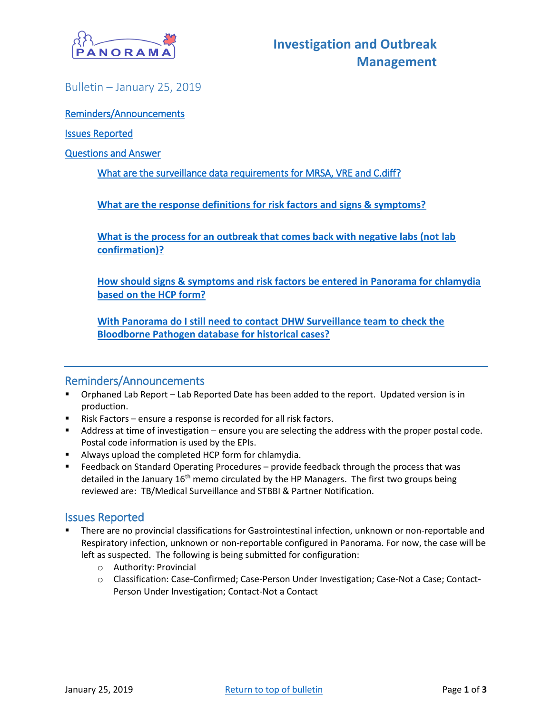

## <span id="page-0-0"></span>Bulletin – January 25, 2019

#### [Reminders/Announcements](#page-0-0)

#### [Issues Reported](#page-0-1)

#### [Questions and Answer](#page-1-0)

#### [What are the surveillance data requirements for MRSA, VRE and C.diff?](#page-1-1)

**What are the response definitions for risk factors and signs & symptoms?**

**What is the process for an outbreak that comes back with negative labs (not lab confirmation)?**

**How should signs & symptoms and risk factors be entered in Panorama for chlamydia based on the HCP form?**

**With Panorama do I still need to contact DHW Surveillance team to check the Bloodborne Pathogen database for historical cases?**

## Reminders/Announcements

- Orphaned Lab Report Lab Reported Date has been added to the report. Updated version is in production.
- Risk Factors ensure a response is recorded for all risk factors.
- Address at time of investigation ensure you are selecting the address with the proper postal code. Postal code information is used by the EPIs.
- Always upload the completed HCP form for chlamydia.
- Feedback on Standard Operating Procedures provide feedback through the process that was detailed in the January 16<sup>th</sup> memo circulated by the HP Managers. The first two groups being reviewed are: TB/Medical Surveillance and STBBI & Partner Notification.

## <span id="page-0-1"></span>Issues Reported

- There are no provincial classifications for Gastrointestinal infection, unknown or non-reportable and Respiratory infection, unknown or non-reportable configured in Panorama. For now, the case will be left as suspected. The following is being submitted for configuration:
	- o Authority: Provincial
	- o Classification: Case-Confirmed; Case-Person Under Investigation; Case-Not a Case; Contact-Person Under Investigation; Contact-Not a Contact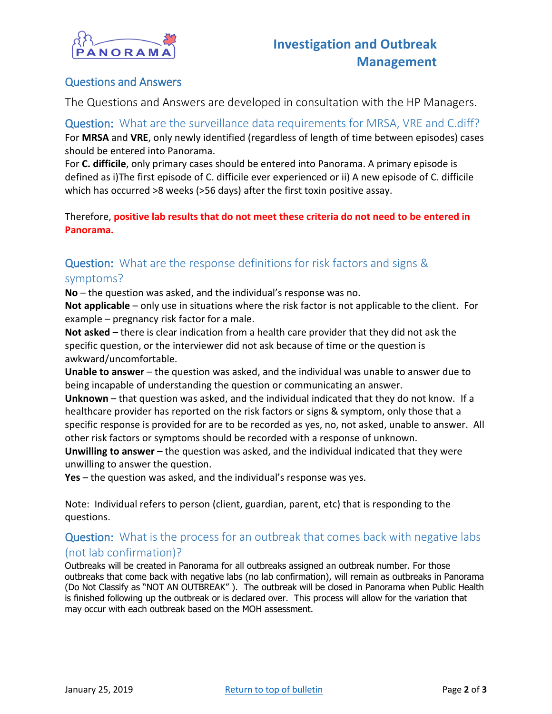

## <span id="page-1-0"></span>Questions and Answers

The Questions and Answers are developed in consultation with the HP Managers.

<span id="page-1-1"></span>Question: What are the surveillance data requirements for MRSA, VRE and C.diff? For **MRSA** and **VRE**, only newly identified (regardless of length of time between episodes) cases should be entered into Panorama.

For **C. difficile**, only primary cases should be entered into Panorama. A primary episode is defined as i)The first episode of C. difficile ever experienced or ii) A new episode of C. difficile which has occurred >8 weeks (>56 days) after the first toxin positive assay.

Therefore, **positive lab results that do not meet these criteria do not need to be entered in Panorama.**

# Question: What are the response definitions for risk factors and signs & symptoms?

**No** – the question was asked, and the individual's response was no.

**Not applicable** – only use in situations where the risk factor is not applicable to the client. For example – pregnancy risk factor for a male.

**Not asked** – there is clear indication from a health care provider that they did not ask the specific question, or the interviewer did not ask because of time or the question is awkward/uncomfortable.

**Unable to answer** – the question was asked, and the individual was unable to answer due to being incapable of understanding the question or communicating an answer.

**Unknown** – that question was asked, and the individual indicated that they do not know. If a healthcare provider has reported on the risk factors or signs & symptom, only those that a specific response is provided for are to be recorded as yes, no, not asked, unable to answer. All other risk factors or symptoms should be recorded with a response of unknown.

**Unwilling to answer** – the question was asked, and the individual indicated that they were unwilling to answer the question.

**Yes** – the question was asked, and the individual's response was yes.

Note: Individual refers to person (client, guardian, parent, etc) that is responding to the questions.

## Question: What is the process for an outbreak that comes back with negative labs (not lab confirmation)?

Outbreaks will be created in Panorama for all outbreaks assigned an outbreak number. For those outbreaks that come back with negative labs (no lab confirmation), will remain as outbreaks in Panorama (Do Not Classify as "NOT AN OUTBREAK" ). The outbreak will be closed in Panorama when Public Health is finished following up the outbreak or is declared over. This process will allow for the variation that may occur with each outbreak based on the MOH assessment.